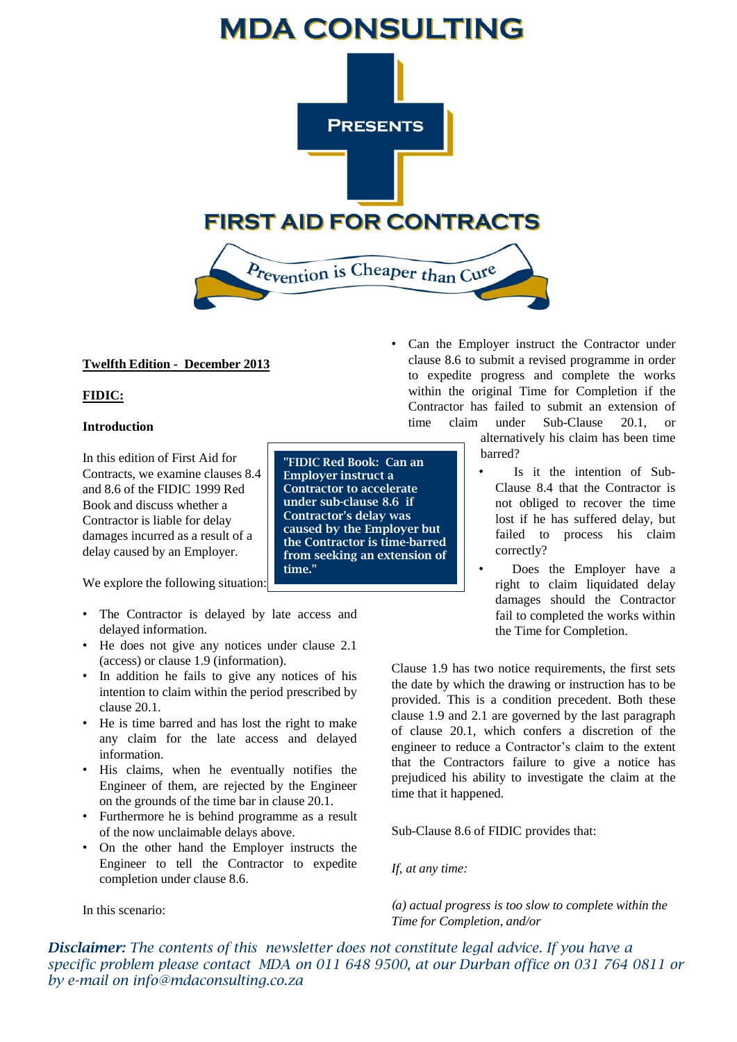

# **Twelfth Edition - December 2013**

# **FIDIC:**

### **Introduction**

In this edition of First Aid for Contracts, we examine clauses 8.4 and 8.6 of the FIDIC 1999 Red Book and discuss whether a Contractor is liable for delay damages incurred as a result of a delay caused by an Employer.

We explore the following situation:

- The Contractor is delayed by late access and delayed information.
- He does not give any notices under clause 2.1 (access) or clause 1.9 (information).
- In addition he fails to give any notices of his intention to claim within the period prescribed by clause 20.1.
- He is time barred and has lost the right to make any claim for the late access and delayed information.
- His claims, when he eventually notifies the Engineer of them, are rejected by the Engineer on the grounds of the time bar in clause 20.1.
- Furthermore he is behind programme as a result of the now unclaimable delays above.
- On the other hand the Employer instructs the Engineer to tell the Contractor to expedite completion under clause 8.6.

In this scenario:

**"FIDIC Red Book: Can an Employer instruct a Contractor to accelerate under sub-clause 8.6 if Contractor's delay was caused by the Employer but the Contractor is time-barred from seeking an extension of time."** 

Can the Employer instruct the Contractor under clause 8.6 to submit a revised programme in order to expedite progress and complete the works within the original Time for Completion if the Contractor has failed to submit an extension of time claim under Sub-Clause 20.1, or

alternatively his claim has been time barred?

- Is it the intention of Sub-Clause 8.4 that the Contractor is not obliged to recover the time lost if he has suffered delay, but failed to process his claim correctly?
- Does the Employer have a right to claim liquidated delay damages should the Contractor fail to completed the works within the Time for Completion.

Clause 1.9 has two notice requirements, the first sets the date by which the drawing or instruction has to be provided. This is a condition precedent. Both these clause 1.9 and 2.1 are governed by the last paragraph of clause 20.1, which confers a discretion of the engineer to reduce a Contractor's claim to the extent that the Contractors failure to give a notice has prejudiced his ability to investigate the claim at the time that it happened.

Sub-Clause 8.6 of FIDIC provides that:

*If, at any time:*

*(a) actual progress is too slow to complete within the Time for Completion, and/or*

*Disclaimer: The contents of this newsletter does not constitute legal advice. If you have a specific problem please contact MDA on 011 648 9500, at our Durban office on 031 764 0811 or by e-mail on info@mdaconsulting.co.za*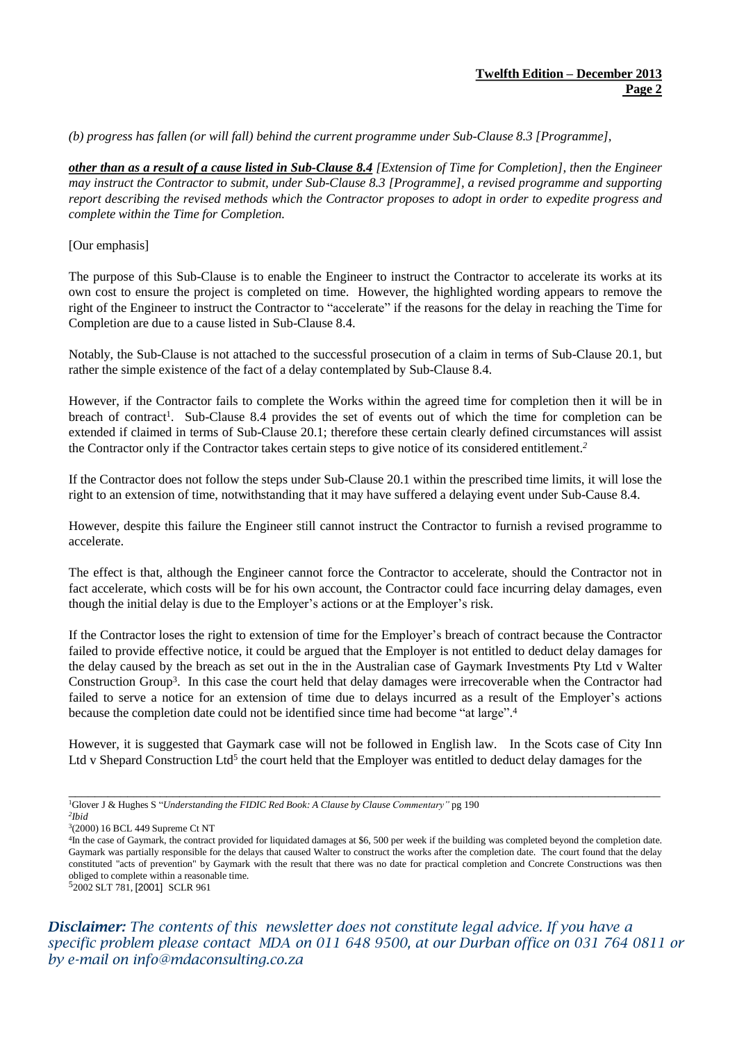*(b) progress has fallen (or will fall) behind the current programme under Sub-Clause 8.3 [Programme],*

other than as a result of a cause listed in Sub-Clause 8.4 [Extension of Time for Completion], then the Engineer *may instruct the Contractor to submit, under Sub-Clause 8.3 [Programme], a revised programme and supporting* report describing the revised methods which the Contractor proposes to adopt in order to expedite progress and *complete within the Time for Completion.*

#### [Our emphasis]

The purpose of this Sub-Clause is to enable the Engineer to instruct the Contractor to accelerate its works at its own cost to ensure the project is completed on time. However, the highlighted wording appears to remove the right of the Engineer to instruct the Contractor to "accelerate" if the reasons for the delay in reaching the Time for Completion are due to a cause listed in Sub-Clause 8.4.

Notably, the Sub-Clause is not attached to the successful prosecution of a claim in terms of Sub-Clause 20.1, but rather the simple existence of the fact of a delay contemplated by Sub-Clause 8.4.

However, if the Contractor fails to complete the Works within the agreed time for completion then it will be in breach of contract<sup>1</sup>. Sub-Clause 8.4 provides the set of events out of which the time for completion can be extended if claimed in terms of Sub-Clause 20.1; therefore these certain clearly defined circumstances will assist the Contractor only if the Contractor takes certain steps to give notice of its considered entitlement. *2*

If the Contractor does not follow the steps under Sub-Clause 20.1 within the prescribed time limits, it will lose the right to an extension of time, notwithstanding that it may have suffered a delaying event under Sub-Cause 8.4.

However, despite this failure the Engineer still cannot instruct the Contractor to furnish a revised programme to accelerate.

The effect is that, although the Engineer cannot force the Contractor to accelerate, should the Contractor not in fact accelerate, which costs will be for his own account, the Contractor could face incurring delay damages, even though the initial delay is due to the Employer's actions or at the Employer's risk.

If the Contractor loses the right to extension of time for the Employer's breach of contract because the Contractor failed to provide effective notice, it could be argued that the Employer is not entitled to deduct delay damages for the delay caused by the breach as set out in the in the Australian case of Gaymark Investments Pty Ltd v Walter Construction Group<sup>3</sup>. In this case the court held that delay damages were irrecoverable when the Contractor had failed to serve a notice for an extension of time due to delays incurred as a result of the Employer's actions because the completion date could not be identified since time had become "at large". 4

However, it is suggested that Gaymark case will not be followed in English law. In the Scots case of City Inn Ltd v Shepard Construction Ltd<sup>5</sup> the court held that the Employer was entitled to deduct delay damages for the

 $\_$  ,  $\_$  ,  $\_$  ,  $\_$  ,  $\_$  ,  $\_$  ,  $\_$  ,  $\_$  ,  $\_$  ,  $\_$  ,  $\_$  ,  $\_$  ,  $\_$  ,  $\_$  ,  $\_$  ,  $\_$  ,  $\_$  ,  $\_$  ,  $\_$  ,  $\_$  ,  $\_$  ,  $\_$  ,  $\_$  ,  $\_$  ,  $\_$  ,  $\_$  ,  $\_$  ,  $\_$  ,  $\_$  ,  $\_$  ,  $\_$  ,  $\_$  ,  $\_$  ,  $\_$  ,  $\_$  ,  $\_$  ,  $\_$  ,

5 2002 SLT 781, [2001] SCLR 961

*Disclaimer: The contents of this newsletter does not constitute legal advice. If you have a specific problem please contact MDA on 011 648 9500, at our Durban office on 031 764 0811 or by e-mail on info@mdaconsulting.co.za* 

<sup>1</sup>Glover J & Hughes S "*Understanding the FIDIC Red Book: A Clause by Clause Commentary"* pg 190 *2 Ibid*

<sup>3</sup> (2000) 16 BCL 449 Supreme Ct NT

<sup>4</sup> In the case of Gaymark, the contract provided for liquidated damages at \$6, 500 per week if the building was completed beyond the completion date. Gaymark was partially responsible for the delays that caused Walter to construct the works after the completion date. The court found that the delay constituted "acts of prevention" by Gaymark with the result that there was no date for practical completion and Concrete Constructions was then obliged to complete within a reasonable time.